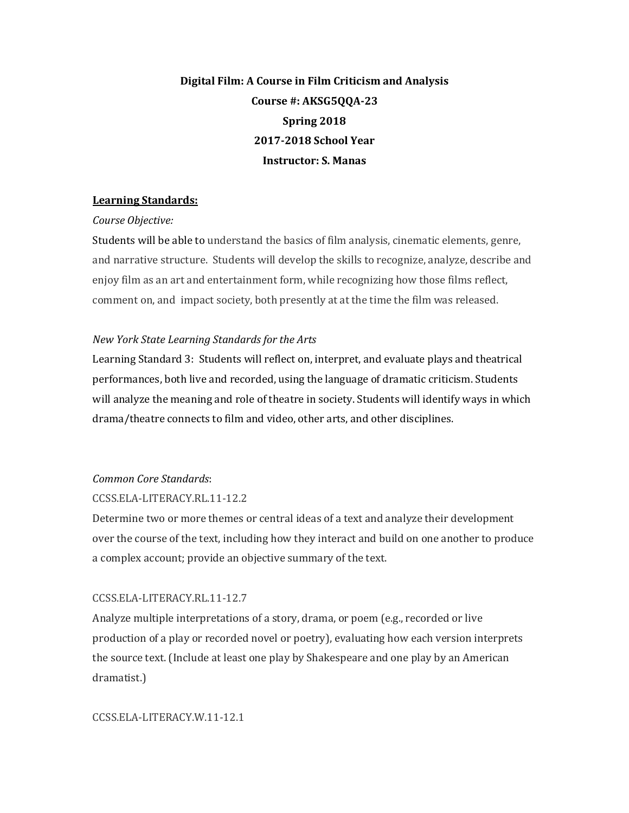# **Digital Film: A Course in Film Criticism and Analysis** Course #: AKSG5QQA-23 **Spring 2018 2017-2018 School Year Instructor: S. Manas**

## **Learning Standards:**

### *Course Objective:*

Students will be able to understand the basics of film analysis, cinematic elements, genre, and narrative structure. Students will develop the skills to recognize, analyze, describe and enjoy film as an art and entertainment form, while recognizing how those films reflect, comment on, and impact society, both presently at at the time the film was released.

## *New York State Learning Standards for the Arts*

Learning Standard 3: Students will reflect on, interpret, and evaluate plays and theatrical performances, both live and recorded, using the language of dramatic criticism. Students will analyze the meaning and role of theatre in society. Students will identify ways in which drama/theatre connects to film and video, other arts, and other disciplines.

## *Common Core Standards*:

## CCSS.ELA-LITERACY.RL.11-12.2

Determine two or more themes or central ideas of a text and analyze their development over the course of the text, including how they interact and build on one another to produce a complex account; provide an objective summary of the text.

# CCSS.ELA-LITERACY.RL.11-12.7

Analyze multiple interpretations of a story, drama, or poem  $(e.g.,$  recorded or live production of a play or recorded novel or poetry), evaluating how each version interprets the source text. (Include at least one play by Shakespeare and one play by an American dramatist.)

## CCSS.ELA-LITERACY.W.11-12.1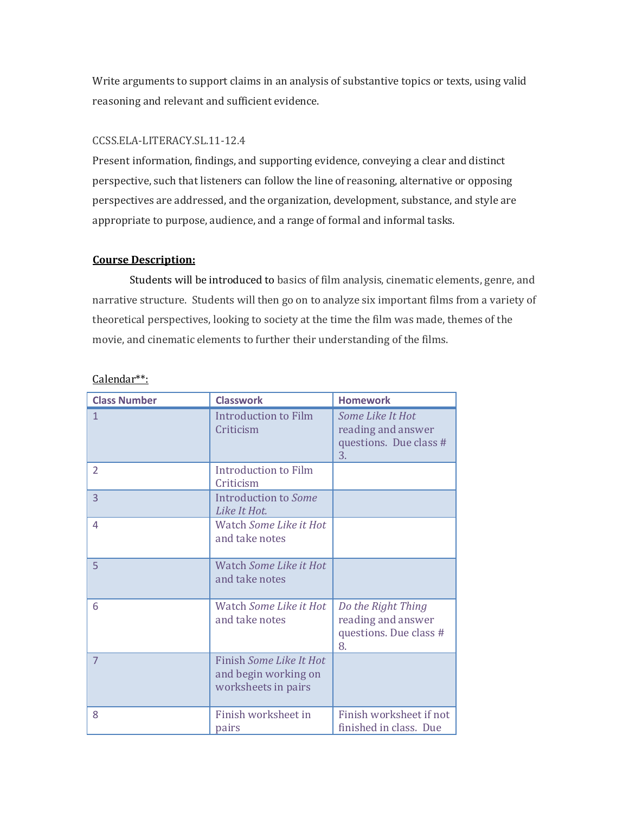Write arguments to support claims in an analysis of substantive topics or texts, using valid reasoning and relevant and sufficient evidence.

## CCSS.ELA-LITERACY.SL.11-12.4

Present information, findings, and supporting evidence, conveying a clear and distinct perspective, such that listeners can follow the line of reasoning, alternative or opposing perspectives are addressed, and the organization, development, substance, and style are appropriate to purpose, audience, and a range of formal and informal tasks.

## **Course Description:**

Students will be introduced to basics of film analysis, cinematic elements, genre, and narrative structure. Students will then go on to analyze six important films from a variety of theoretical perspectives, looking to society at the time the film was made, themes of the movie, and cinematic elements to further their understanding of the films.

| <b>Class Number</b> | <b>Classwork</b>                                                       | <b>Homework</b>                                                          |
|---------------------|------------------------------------------------------------------------|--------------------------------------------------------------------------|
| 1                   | Introduction to Film<br>Criticism                                      | Some Like It Hot<br>reading and answer<br>questions. Due class #<br>3.   |
| $\mathcal{P}$       | Introduction to Film<br>Criticism                                      |                                                                          |
| 3                   | Introduction to Some<br>Like It Hot.                                   |                                                                          |
| 4                   | Watch Some Like it Hot<br>and take notes                               |                                                                          |
| 5                   | Watch Some Like it Hot<br>and take notes                               |                                                                          |
| 6                   | Watch Some Like it Hot<br>and take notes                               | Do the Right Thing<br>reading and answer<br>questions. Due class #<br>8. |
| $\overline{7}$      | Finish Some Like It Hot<br>and begin working on<br>worksheets in pairs |                                                                          |
| 8                   | Finish worksheet in<br>pairs                                           | Finish worksheet if not<br>finished in class. Due                        |

# Calendar\*\*: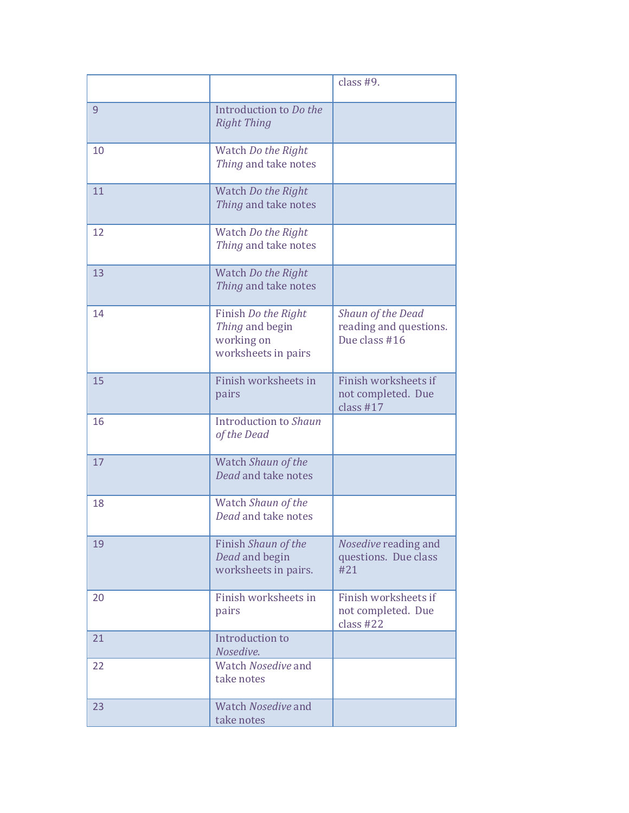|    |                                                                             | class #9.                                                    |
|----|-----------------------------------------------------------------------------|--------------------------------------------------------------|
| 9  | Introduction to Do the<br><b>Right Thing</b>                                |                                                              |
| 10 | Watch Do the Right<br>Thing and take notes                                  |                                                              |
| 11 | Watch Do the Right<br>Thing and take notes                                  |                                                              |
| 12 | Watch Do the Right<br>Thing and take notes                                  |                                                              |
| 13 | Watch Do the Right<br>Thing and take notes                                  |                                                              |
| 14 | Finish Do the Right<br>Thing and begin<br>working on<br>worksheets in pairs | Shaun of the Dead<br>reading and questions.<br>Due class #16 |
| 15 | Finish worksheets in<br>pairs                                               | Finish worksheets if<br>not completed. Due<br>class $#17$    |
| 16 | Introduction to Shaun<br>of the Dead                                        |                                                              |
| 17 | Watch Shaun of the<br>Dead and take notes                                   |                                                              |
| 18 | Watch Shaun of the<br>Dead and take notes                                   |                                                              |
| 19 | Finish Shaun of the<br>Dead and begin<br>worksheets in pairs.               | Nosedive reading and<br>questions. Due class<br>#21          |
| 20 | Finish worksheets in<br>pairs                                               | Finish worksheets if<br>not completed. Due<br>class $#22$    |
| 21 | Introduction to<br>Nosedive.                                                |                                                              |
| 22 | Watch Nosedive and<br>take notes                                            |                                                              |
| 23 | Watch Nosedive and<br>take notes                                            |                                                              |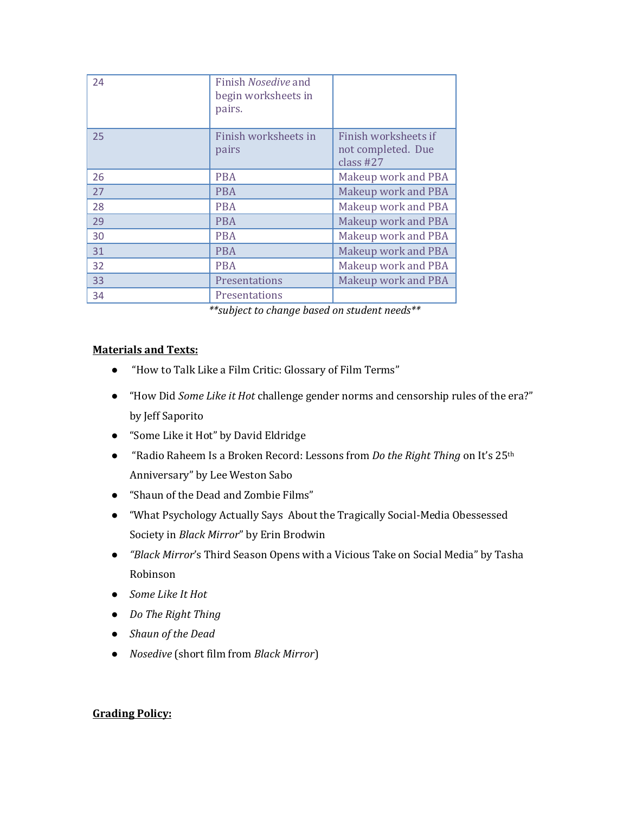| 24 | Finish Nosedive and<br>begin worksheets in<br>pairs. |                                                           |
|----|------------------------------------------------------|-----------------------------------------------------------|
| 25 | Finish worksheets in<br>pairs                        | Finish worksheets if<br>not completed. Due<br>class $#27$ |
| 26 | <b>PBA</b>                                           | Makeup work and PBA                                       |
| 27 | <b>PBA</b>                                           | Makeup work and PBA                                       |
| 28 | <b>PBA</b>                                           | Makeup work and PBA                                       |
| 29 | <b>PBA</b>                                           | Makeup work and PBA                                       |
| 30 | <b>PBA</b>                                           | Makeup work and PBA                                       |
| 31 | <b>PBA</b>                                           | <b>Makeup work and PBA</b>                                |
| 32 | <b>PBA</b>                                           | Makeup work and PBA                                       |
| 33 | Presentations                                        | Makeup work and PBA                                       |
| 34 | Presentations                                        |                                                           |

*\*\*subject to change based on student needs\*\**

# **Materials and Texts:**

- "How to Talk Like a Film Critic: Glossary of Film Terms"
- "How Did *Some Like it Hot* challenge gender norms and censorship rules of the era?" by Jeff Saporito
- "Some Like it Hot" by David Eldridge
- "Radio Raheem Is a Broken Record: Lessons from *Do the Right Thing* on It's 25<sup>th</sup> Anniversary" by Lee Weston Sabo
- "Shaun of the Dead and Zombie Films"
- "What Psychology Actually Says About the Tragically Social-Media Obessessed Society in *Black Mirror*" by Erin Brodwin
- *"Black Mirror's* Third Season Opens with a Vicious Take on Social Media" by Tasha Robinson
- *Some Like It Hot*
- *Do The Right Thing*
- **•** *Shaun of the Dead*
- *Nosedive* (short film from *Black Mirror*)

# **Grading Policy:**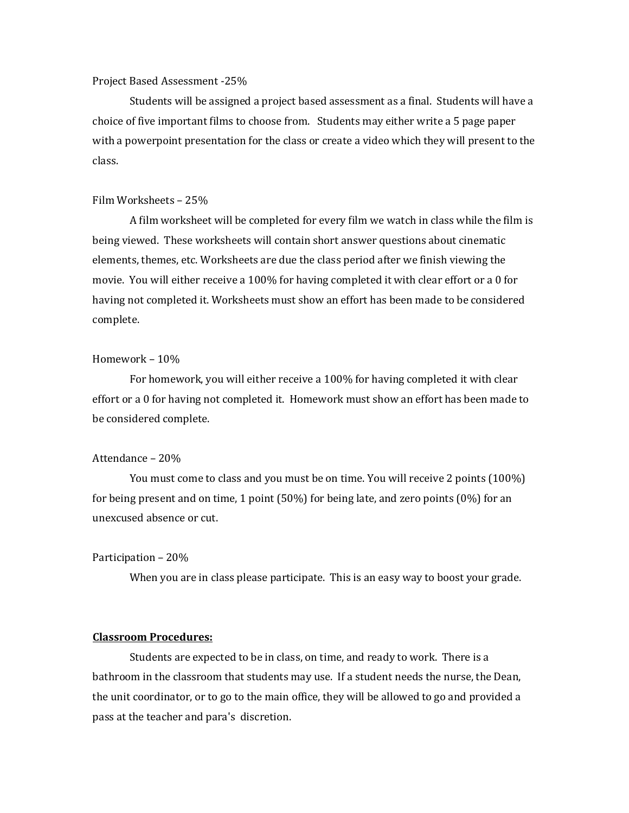#### Project Based Assessment -25%

Students will be assigned a project based assessment as a final. Students will have a choice of five important films to choose from. Students may either write a 5 page paper with a powerpoint presentation for the class or create a video which they will present to the class.

#### Film Worksheets - 25%

A film worksheet will be completed for every film we watch in class while the film is being viewed. These worksheets will contain short answer questions about cinematic elements, themes, etc. Worksheets are due the class period after we finish viewing the movie. You will either receive a 100% for having completed it with clear effort or a 0 for having not completed it. Worksheets must show an effort has been made to be considered complete.

#### Homework  $-10%$

For homework, you will either receive a 100% for having completed it with clear effort or a 0 for having not completed it. Homework must show an effort has been made to be considered complete.

#### Attendance – 20%

You must come to class and you must be on time. You will receive 2 points (100%) for being present and on time, 1 point  $(50\%)$  for being late, and zero points  $(0\%)$  for an unexcused absence or cut. 

#### Participation – 20%

When you are in class please participate. This is an easy way to boost your grade.

## **Classroom Procedures:**

Students are expected to be in class, on time, and ready to work. There is a bathroom in the classroom that students may use. If a student needs the nurse, the Dean, the unit coordinator, or to go to the main office, they will be allowed to go and provided a pass at the teacher and para's discretion.